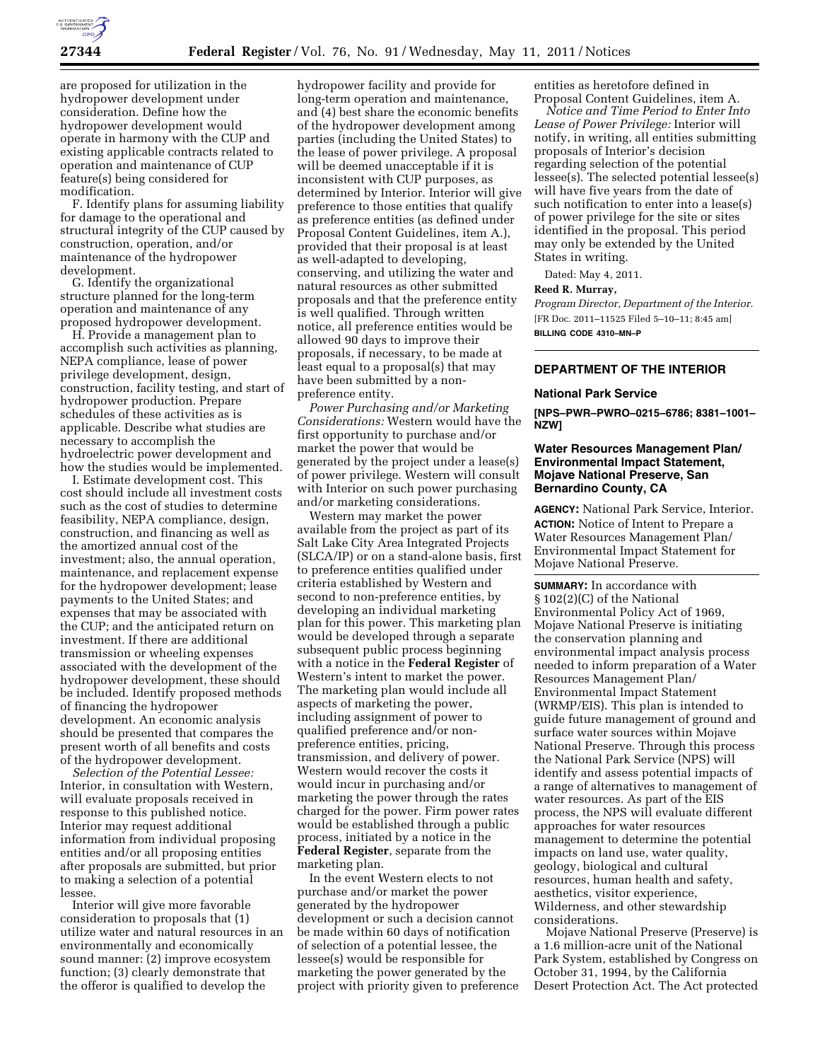

are proposed for utilization in the hydropower development under consideration. Define how the hydropower development would operate in harmony with the CUP and existing applicable contracts related to operation and maintenance of CUP feature(s) being considered for modification.

F. Identify plans for assuming liability for damage to the operational and structural integrity of the CUP caused by construction, operation, and/or maintenance of the hydropower development.

G. Identify the organizational structure planned for the long-term operation and maintenance of any proposed hydropower development.

H. Provide a management plan to accomplish such activities as planning, NEPA compliance, lease of power privilege development, design, construction, facility testing, and start of hydropower production. Prepare schedules of these activities as is applicable. Describe what studies are necessary to accomplish the hydroelectric power development and how the studies would be implemented.

I. Estimate development cost. This cost should include all investment costs such as the cost of studies to determine feasibility, NEPA compliance, design, construction, and financing as well as the amortized annual cost of the investment; also, the annual operation, maintenance, and replacement expense for the hydropower development; lease payments to the United States; and expenses that may be associated with the CUP; and the anticipated return on investment. If there are additional transmission or wheeling expenses associated with the development of the hydropower development, these should be included. Identify proposed methods of financing the hydropower development. An economic analysis should be presented that compares the present worth of all benefits and costs of the hydropower development.

*Selection of the Potential Lessee:*  Interior, in consultation with Western, will evaluate proposals received in response to this published notice. Interior may request additional information from individual proposing entities and/or all proposing entities after proposals are submitted, but prior to making a selection of a potential lessee.

Interior will give more favorable consideration to proposals that (1) utilize water and natural resources in an environmentally and economically sound manner: (2) improve ecosystem function; (3) clearly demonstrate that the offeror is qualified to develop the

hydropower facility and provide for long-term operation and maintenance, and (4) best share the economic benefits of the hydropower development among parties (including the United States) to the lease of power privilege. A proposal will be deemed unacceptable if it is inconsistent with CUP purposes, as determined by Interior. Interior will give preference to those entities that qualify as preference entities (as defined under Proposal Content Guidelines, item A.), provided that their proposal is at least as well-adapted to developing, conserving, and utilizing the water and natural resources as other submitted proposals and that the preference entity is well qualified. Through written notice, all preference entities would be allowed 90 days to improve their proposals, if necessary, to be made at least equal to a proposal(s) that may have been submitted by a nonpreference entity.

*Power Purchasing and/or Marketing Considerations:* Western would have the first opportunity to purchase and/or market the power that would be generated by the project under a lease(s) of power privilege. Western will consult with Interior on such power purchasing and/or marketing considerations.

Western may market the power available from the project as part of its Salt Lake City Area Integrated Projects (SLCA/IP) or on a stand-alone basis, first to preference entities qualified under criteria established by Western and second to non-preference entities, by developing an individual marketing plan for this power. This marketing plan would be developed through a separate subsequent public process beginning with a notice in the **Federal Register** of Western's intent to market the power. The marketing plan would include all aspects of marketing the power, including assignment of power to qualified preference and/or nonpreference entities, pricing, transmission, and delivery of power. Western would recover the costs it would incur in purchasing and/or marketing the power through the rates charged for the power. Firm power rates would be established through a public process, initiated by a notice in the **Federal Register**, separate from the marketing plan.

In the event Western elects to not purchase and/or market the power generated by the hydropower development or such a decision cannot be made within 60 days of notification of selection of a potential lessee, the lessee(s) would be responsible for marketing the power generated by the project with priority given to preference entities as heretofore defined in Proposal Content Guidelines, item A.

*Notice and Time Period to Enter Into Lease of Power Privilege:* Interior will notify, in writing, all entities submitting proposals of Interior's decision regarding selection of the potential lessee(s). The selected potential lessee(s) will have five years from the date of such notification to enter into a lease(s) of power privilege for the site or sites identified in the proposal. This period may only be extended by the United States in writing.

Dated: May 4, 2011.

# **Reed R. Murray,**

*Program Director, Department of the Interior.*  [FR Doc. 2011–11525 Filed 5–10–11; 8:45 am] **BILLING CODE 4310–MN–P** 

# **DEPARTMENT OF THE INTERIOR**

#### **National Park Service**

**[NPS–PWR–PWRO–0215–6786; 8381–1001– NZW]** 

# **Water Resources Management Plan/ Environmental Impact Statement, Mojave National Preserve, San Bernardino County, CA**

**AGENCY:** National Park Service, Interior. **ACTION:** Notice of Intent to Prepare a Water Resources Management Plan/ Environmental Impact Statement for Mojave National Preserve.

**SUMMARY:** In accordance with § 102(2)(C) of the National Environmental Policy Act of 1969, Mojave National Preserve is initiating the conservation planning and environmental impact analysis process needed to inform preparation of a Water Resources Management Plan/ Environmental Impact Statement (WRMP/EIS). This plan is intended to guide future management of ground and surface water sources within Mojave National Preserve. Through this process the National Park Service (NPS) will identify and assess potential impacts of a range of alternatives to management of water resources. As part of the EIS process, the NPS will evaluate different approaches for water resources management to determine the potential impacts on land use, water quality, geology, biological and cultural resources, human health and safety, aesthetics, visitor experience, Wilderness, and other stewardship considerations.

Mojave National Preserve (Preserve) is a 1.6 million-acre unit of the National Park System, established by Congress on October 31, 1994, by the California Desert Protection Act. The Act protected